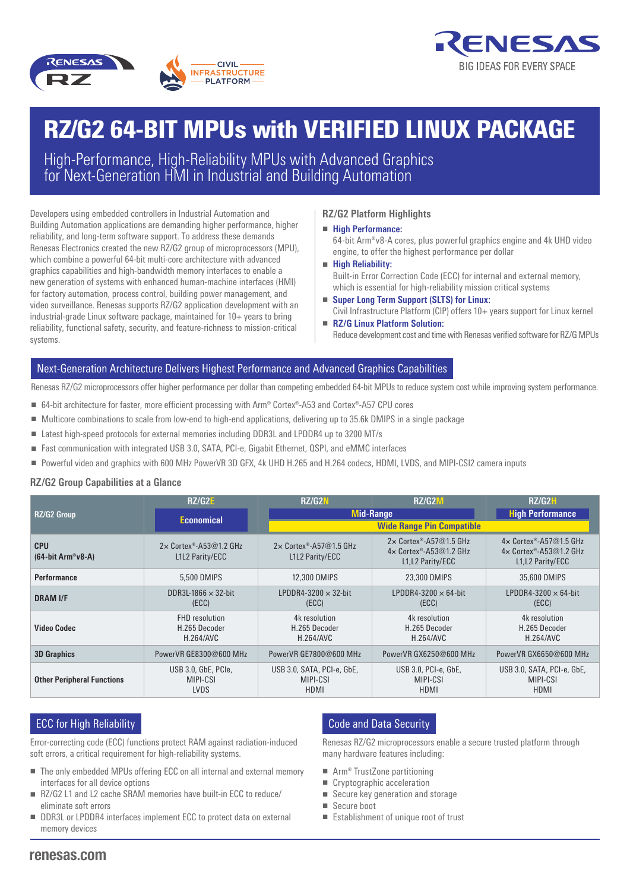



# RZ/G2 64-BIT MPUs with VERIFIED LINUX PACKAGE

High-Performance, High-Reliability MPUs with Advanced Graphics for Next-Generation HMI in Industrial and Building Automation

Developers using embedded controllers in Industrial Automation and **Fight RZ/G2 Platform Highlig** Building Automation applications are demanding higher performance, higher **Figh Performance:**<br>reliability and long-term software support. To address these demands reliability, and long-term software support. To address these demands Renesas Electronics created the new RZ/G2 group of microprocessors (MPU), which combine a powerful 64-bit multi-core architecture with advanced graphics capabilities and high-bandwidth memory interfaces to enable a new generation of systems with enhanced human-machine interfaces (HMI) for factory automation, process control, building power management, and video surveillance. Renesas supports RZ/G2 application development with an industrial-grade Linux software package, maintained for  $10+$  years to bring reliability, functional safety, security, and feature-richness to mission-critical systems.

# **RZ/G2 Platform Highlights**

- **High Performance:** 64-bit Arm®v8-A cores, plus powerful graphics engine and 4k UHD video engine, to offer the highest performance per dollar
- **High Reliability:** Built-in Error Correction Code (ECC) for internal and external memory, which is essential for high-reliability mission critical systems
- **Super Long Term Support (SLTS) for Linux:** Civil Infrastructure Platform (CIP) offers 10+ years support for Linux kernel
- **RZ/G Linux Platform Solution:** Reduce development cost and time with Renesas verified software for RZ/G MPUs

# Next-Generation Architecture Delivers Highest Performance and Advanced Graphics Capabilities

Renesas RZ/G2 microprocessors offer higher performance per dollar than competing embedded 64-bit MPUs to reduce system cost while improving system performance.

- 64-bit architecture for faster, more efficient processing with Arm® Cortex®-A53 and Cortex®-A57 CPU cores
- Multicore combinations to scale from low-end to high-end applications, delivering up to 35.6k DMIPS in a single package
- Latest high-speed protocols for external memories including DDR3L and LPDDR4 up to 3200 MT/s
- Fast communication with integrated USB 3.0, SATA, PCI-e, Gigabit Ethernet, QSPI, and eMMC interfaces
- Powerful video and graphics with 600 MHz PowerVR 3D GFX, 4k UHD H.265 and H.264 codecs, HDMI, LVDS, and MIPI-CSI2 camera inputs

### **RZ/G2 Group Capabilities at a Glance**

| <b>RZ/G2 Group</b>                | RZ/G2E                                              | RZ/G2N                                            | <b>RZ/G2M</b>                                                                         | RZ/G2H                                                                                             |
|-----------------------------------|-----------------------------------------------------|---------------------------------------------------|---------------------------------------------------------------------------------------|----------------------------------------------------------------------------------------------------|
|                                   | <b>Economical</b>                                   | <b>Mid-Range</b>                                  |                                                                                       | <b>High Performance</b>                                                                            |
|                                   |                                                     | <b>Wide Range Pin Compatible</b>                  |                                                                                       |                                                                                                    |
| <b>CPU</b><br>$(64-bit Arm®v8-A)$ | $2 \times$ Cortex®-A53@1.2 GHz<br>L1L2 Parity/ECC   | $2 \times$ Cortex®-A57@1.5 GHz<br>L1L2 Parity/ECC | $2 \times$ Cortex®-A57@1.5 GHz<br>$4 \times$ Cortex®-A53@1.2 GHz<br>L1, L2 Parity/ECC | $4 \times$ Cortex <sup>®</sup> -A57@1.5 GHz<br>$4 \times$ Cortex®-A53@1.2 GHz<br>L1, L2 Parity/ECC |
| <b>Performance</b>                | 5.500 DMIPS                                         | 12.300 DMIPS                                      | 23.300 DMIPS                                                                          | 35,600 DMIPS                                                                                       |
| <b>DRAM I/F</b>                   | DDR3L-1866 $\times$ 32-bit<br>(ECC)                 | LPDDR4-3200 $\times$ 32-bit<br>(ECC)              | LPDDR4-3200 $\times$ 64-bit<br>(ECC)                                                  | LPDDR4-3200 $\times$ 64-bit<br>(ECC)                                                               |
| <b>Video Codec</b>                | <b>FHD</b> resolution<br>H.265 Decoder<br>H.264/AVC | 4k resolution<br>H.265 Decoder<br>H.264/AVC       | 4k resolution<br>H.265 Decoder<br>H.264/AVC                                           | 4k resolution<br>H.265 Decoder<br>H.264/AVC                                                        |
| <b>3D Graphics</b>                | PowerVR GE8300@600 MHz                              | PowerVR GE7800@600 MHz                            | PowerVR GX6250@600 MHz                                                                | PowerVR GX6650@600 MHz                                                                             |
| <b>Other Peripheral Functions</b> | USB 3.0, GbE, PCIe,<br>MIPI-CSI<br><b>LVDS</b>      | USB 3.0, SATA, PCI-e, GbE,<br>MIPI-CSI<br>HDMI    | USB 3.0, PCI-e, GbE,<br>MIPI-CSI<br>HDMI                                              | USB 3.0, SATA, PCI-e, GbE,<br>MIPI-CSI<br>HDMI                                                     |

# **ECC for High Reliability**

Error-correcting code (ECC) functions protect RAM against radiation-induced soft errors, a critical requirement for high-reliability systems.

- The only embedded MPUs offering ECC on all internal and external memory interfaces for all device options
- RZ/G2 L1 and L2 cache SRAM memories have built-in ECC to reduce/ eliminate soft errors
- DDR3L or LPDDR4 interfaces implement ECC to protect data on external memory devices

# Code and Data Security

Renesas RZ/G2 microprocessors enable a secure trusted platform through many hardware features including:

- Arm<sup>®</sup> TrustZone partitioning
- Cryptographic acceleration
- Secure key generation and storage
- Secure boot
- Establishment of unique root of trust